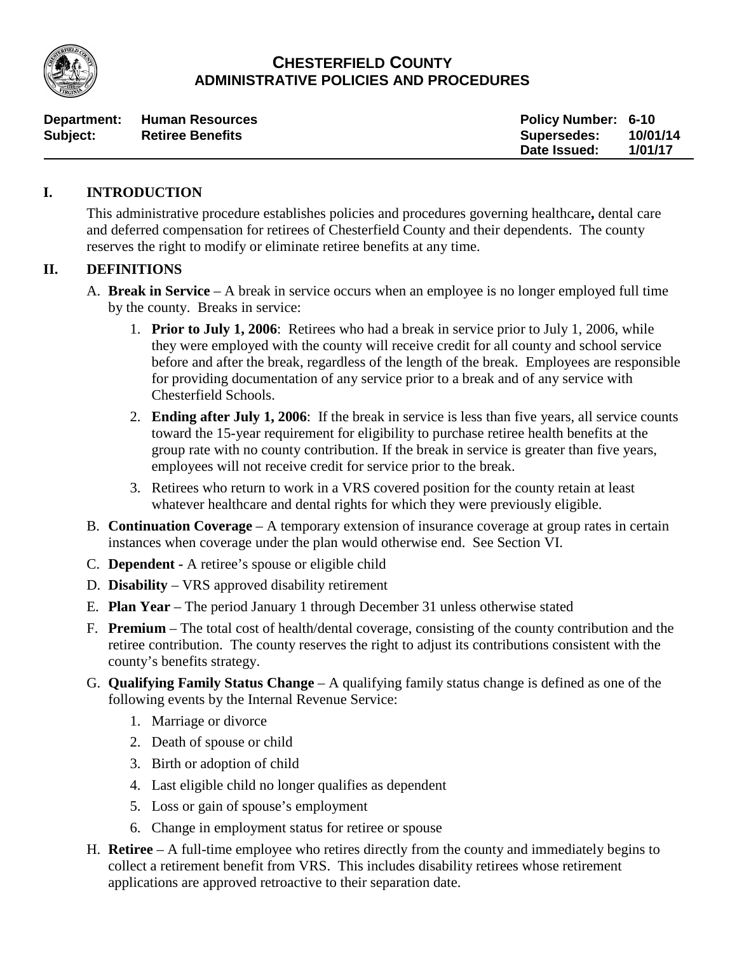

# **CHESTERFIELD COUNTY ADMINISTRATIVE POLICIES AND PROCEDURES**

| Department: | Human Resources         | <b>Policy Number: 6-10</b> |          |
|-------------|-------------------------|----------------------------|----------|
| Subject:    | <b>Retiree Benefits</b> | <b>Supersedes:</b>         | 10/01/14 |
|             |                         | Date Issued:               | 1/01/17  |

#### **I. INTRODUCTION**

This administrative procedure establishes policies and procedures governing healthcare**,** dental care and deferred compensation for retirees of Chesterfield County and their dependents. The county reserves the right to modify or eliminate retiree benefits at any time.

## **II. DEFINITIONS**

- A. **Break in Service** A break in service occurs when an employee is no longer employed full time by the county. Breaks in service:
	- 1. **Prior to July 1, 2006**: Retirees who had a break in service prior to July 1, 2006, while they were employed with the county will receive credit for all county and school service before and after the break, regardless of the length of the break. Employees are responsible for providing documentation of any service prior to a break and of any service with Chesterfield Schools.
	- 2. **Ending after July 1, 2006**: If the break in service is less than five years, all service counts toward the 15-year requirement for eligibility to purchase retiree health benefits at the group rate with no county contribution. If the break in service is greater than five years, employees will not receive credit for service prior to the break.
	- 3. Retirees who return to work in a VRS covered position for the county retain at least whatever healthcare and dental rights for which they were previously eligible.
- B. **Continuation Coverage** A temporary extension of insurance coverage at group rates in certain instances when coverage under the plan would otherwise end. See Section VI.
- C. **Dependent -** A retiree's spouse or eligible child
- D. **Disability** VRS approved disability retirement
- E. **Plan Year** The period January 1 through December 31 unless otherwise stated
- F. **Premium** The total cost of health/dental coverage, consisting of the county contribution and the retiree contribution. The county reserves the right to adjust its contributions consistent with the county's benefits strategy.
- G. **Qualifying Family Status Change** A qualifying family status change is defined as one of the following events by the Internal Revenue Service:
	- 1. Marriage or divorce
	- 2. Death of spouse or child
	- 3. Birth or adoption of child
	- 4. Last eligible child no longer qualifies as dependent
	- 5. Loss or gain of spouse's employment
	- 6. Change in employment status for retiree or spouse
- H. **Retiree** A full-time employee who retires directly from the county and immediately begins to collect a retirement benefit from VRS. This includes disability retirees whose retirement applications are approved retroactive to their separation date.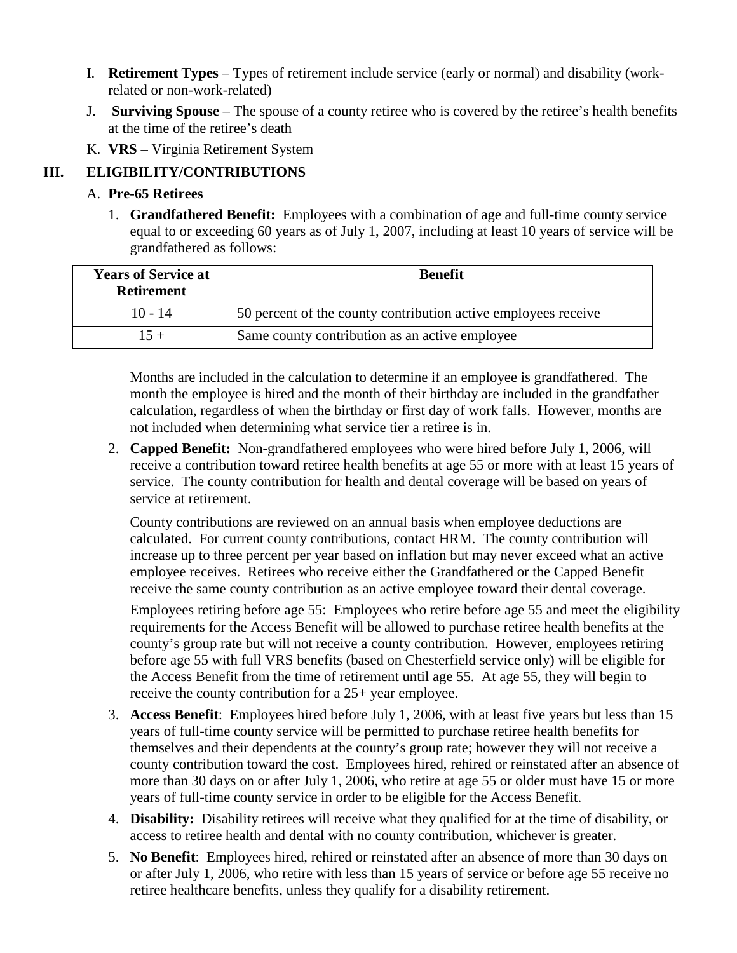- I. **Retirement Types** Types of retirement include service (early or normal) and disability (workrelated or non-work-related)
- J. **Surviving Spouse**  The spouse of a county retiree who is covered by the retiree's health benefits at the time of the retiree's death
- K. **VRS** Virginia Retirement System

# **III. ELIGIBILITY/CONTRIBUTIONS**

## A. **Pre-65 Retirees**

1. **Grandfathered Benefit:** Employees with a combination of age and full-time county service equal to or exceeding 60 years as of July 1, 2007, including at least 10 years of service will be grandfathered as follows:

| <b>Years of Service at</b><br><b>Retirement</b> | <b>Benefit</b>                                                 |
|-------------------------------------------------|----------------------------------------------------------------|
| $10 - 14$                                       | 50 percent of the county contribution active employees receive |
| $15 +$                                          | Same county contribution as an active employee                 |

Months are included in the calculation to determine if an employee is grandfathered. The month the employee is hired and the month of their birthday are included in the grandfather calculation, regardless of when the birthday or first day of work falls. However, months are not included when determining what service tier a retiree is in.

2. **Capped Benefit:** Non-grandfathered employees who were hired before July 1, 2006, will receive a contribution toward retiree health benefits at age 55 or more with at least 15 years of service. The county contribution for health and dental coverage will be based on years of service at retirement.

County contributions are reviewed on an annual basis when employee deductions are calculated. For current county contributions, contact HRM. The county contribution will increase up to three percent per year based on inflation but may never exceed what an active employee receives. Retirees who receive either the Grandfathered or the Capped Benefit receive the same county contribution as an active employee toward their dental coverage.

Employees retiring before age 55: Employees who retire before age 55 and meet the eligibility requirements for the Access Benefit will be allowed to purchase retiree health benefits at the county's group rate but will not receive a county contribution. However, employees retiring before age 55 with full VRS benefits (based on Chesterfield service only) will be eligible for the Access Benefit from the time of retirement until age 55. At age 55, they will begin to receive the county contribution for a 25+ year employee.

- 3. **Access Benefit**: Employees hired before July 1, 2006, with at least five years but less than 15 years of full-time county service will be permitted to purchase retiree health benefits for themselves and their dependents at the county's group rate; however they will not receive a county contribution toward the cost. Employees hired, rehired or reinstated after an absence of more than 30 days on or after July 1, 2006, who retire at age 55 or older must have 15 or more years of full-time county service in order to be eligible for the Access Benefit.
- 4. **Disability:** Disability retirees will receive what they qualified for at the time of disability, or access to retiree health and dental with no county contribution, whichever is greater.
- 5. **No Benefit**: Employees hired, rehired or reinstated after an absence of more than 30 days on or after July 1, 2006, who retire with less than 15 years of service or before age 55 receive no retiree healthcare benefits, unless they qualify for a disability retirement.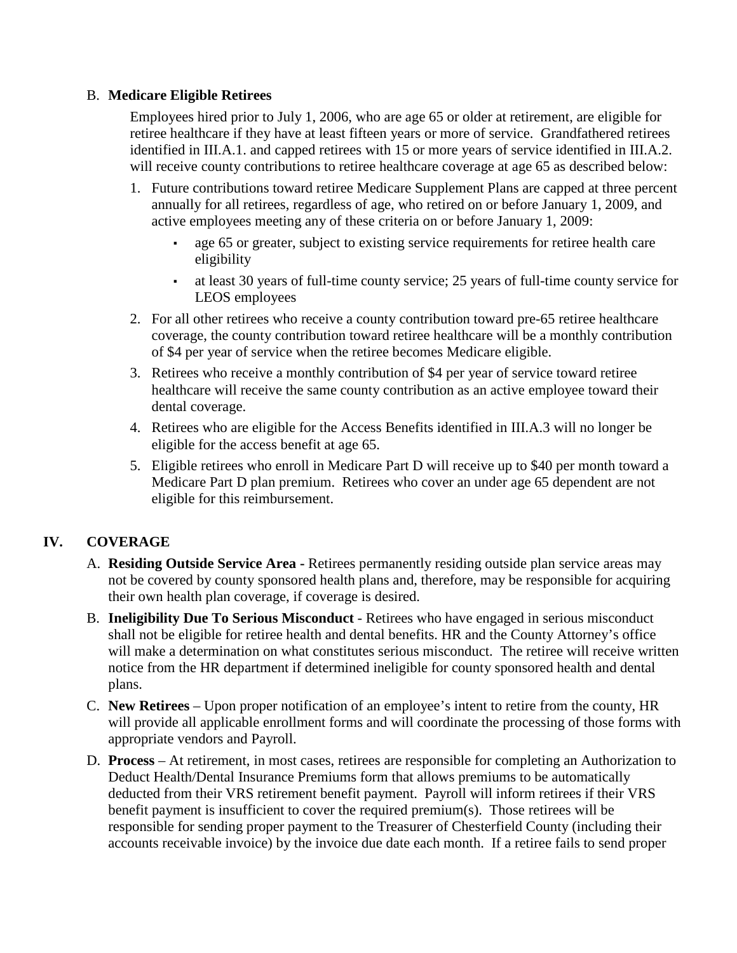#### B. **Medicare Eligible Retirees**

Employees hired prior to July 1, 2006, who are age 65 or older at retirement, are eligible for retiree healthcare if they have at least fifteen years or more of service. Grandfathered retirees identified in III.A.1. and capped retirees with 15 or more years of service identified in III.A.2. will receive county contributions to retiree healthcare coverage at age 65 as described below:

- 1. Future contributions toward retiree Medicare Supplement Plans are capped at three percent annually for all retirees, regardless of age, who retired on or before January 1, 2009, and active employees meeting any of these criteria on or before January 1, 2009:
	- age 65 or greater, subject to existing service requirements for retiree health care eligibility
	- at least 30 years of full-time county service; 25 years of full-time county service for LEOS employees
- 2. For all other retirees who receive a county contribution toward pre-65 retiree healthcare coverage, the county contribution toward retiree healthcare will be a monthly contribution of \$4 per year of service when the retiree becomes Medicare eligible.
- 3. Retirees who receive a monthly contribution of \$4 per year of service toward retiree healthcare will receive the same county contribution as an active employee toward their dental coverage.
- 4. Retirees who are eligible for the Access Benefits identified in III.A.3 will no longer be eligible for the access benefit at age 65.
- 5. Eligible retirees who enroll in Medicare Part D will receive up to \$40 per month toward a Medicare Part D plan premium. Retirees who cover an under age 65 dependent are not eligible for this reimbursement.

## **IV. COVERAGE**

- A. **Residing Outside Service Area -** Retirees permanently residing outside plan service areas may not be covered by county sponsored health plans and, therefore, may be responsible for acquiring their own health plan coverage, if coverage is desired.
- B. **Ineligibility Due To Serious Misconduct** Retirees who have engaged in serious misconduct shall not be eligible for retiree health and dental benefits. HR and the County Attorney's office will make a determination on what constitutes serious misconduct. The retiree will receive written notice from the HR department if determined ineligible for county sponsored health and dental plans.
- C. **New Retirees** Upon proper notification of an employee's intent to retire from the county, HR will provide all applicable enrollment forms and will coordinate the processing of those forms with appropriate vendors and Payroll.
- D. **Process** At retirement, in most cases, retirees are responsible for completing an Authorization to Deduct Health/Dental Insurance Premiums form that allows premiums to be automatically deducted from their VRS retirement benefit payment. Payroll will inform retirees if their VRS benefit payment is insufficient to cover the required premium(s). Those retirees will be responsible for sending proper payment to the Treasurer of Chesterfield County (including their accounts receivable invoice) by the invoice due date each month. If a retiree fails to send proper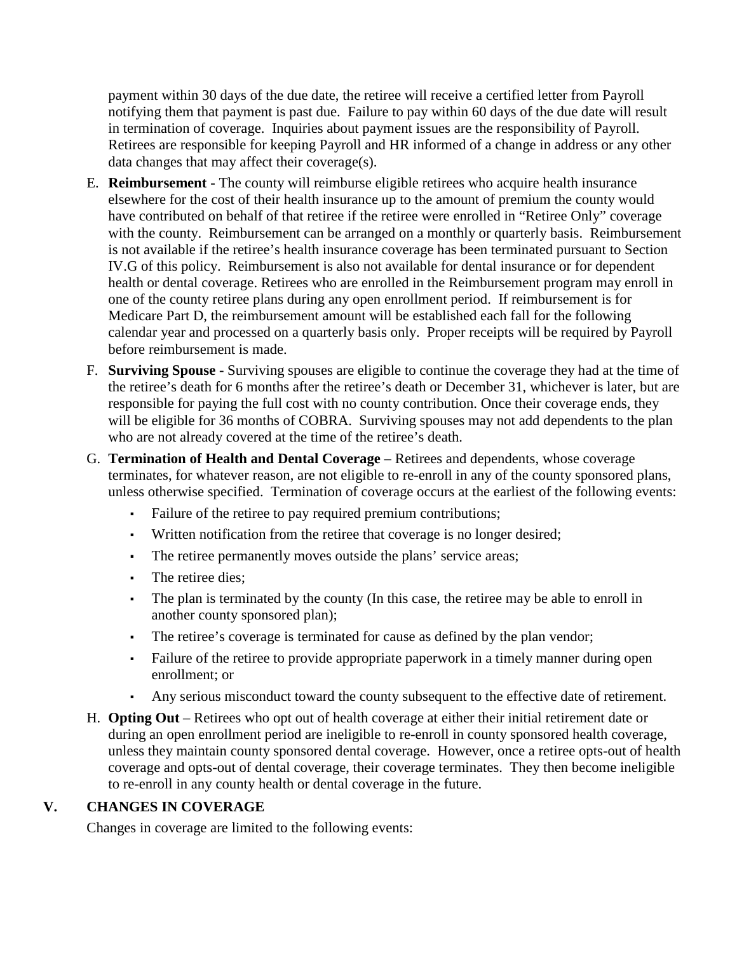payment within 30 days of the due date, the retiree will receive a certified letter from Payroll notifying them that payment is past due. Failure to pay within 60 days of the due date will result in termination of coverage. Inquiries about payment issues are the responsibility of Payroll. Retirees are responsible for keeping Payroll and HR informed of a change in address or any other data changes that may affect their coverage(s).

- E. **Reimbursement -** The county will reimburse eligible retirees who acquire health insurance elsewhere for the cost of their health insurance up to the amount of premium the county would have contributed on behalf of that retiree if the retiree were enrolled in "Retiree Only" coverage with the county. Reimbursement can be arranged on a monthly or quarterly basis. Reimbursement is not available if the retiree's health insurance coverage has been terminated pursuant to Section IV.G of this policy. Reimbursement is also not available for dental insurance or for dependent health or dental coverage. Retirees who are enrolled in the Reimbursement program may enroll in one of the county retiree plans during any open enrollment period. If reimbursement is for Medicare Part D, the reimbursement amount will be established each fall for the following calendar year and processed on a quarterly basis only. Proper receipts will be required by Payroll before reimbursement is made.
- F. **Surviving Spouse -** Surviving spouses are eligible to continue the coverage they had at the time of the retiree's death for 6 months after the retiree's death or December 31, whichever is later, but are responsible for paying the full cost with no county contribution. Once their coverage ends, they will be eligible for 36 months of COBRA. Surviving spouses may not add dependents to the plan who are not already covered at the time of the retiree's death.
- G. **Termination of Health and Dental Coverage** Retirees and dependents, whose coverage terminates, for whatever reason, are not eligible to re-enroll in any of the county sponsored plans, unless otherwise specified. Termination of coverage occurs at the earliest of the following events:
	- Failure of the retiree to pay required premium contributions;
	- Written notification from the retiree that coverage is no longer desired;
	- The retiree permanently moves outside the plans' service areas;
	- The retiree dies;
	- The plan is terminated by the county (In this case, the retiree may be able to enroll in another county sponsored plan);
	- The retiree's coverage is terminated for cause as defined by the plan vendor;
	- Failure of the retiree to provide appropriate paperwork in a timely manner during open enrollment; or
	- Any serious misconduct toward the county subsequent to the effective date of retirement.
- H. **Opting Out**  Retirees who opt out of health coverage at either their initial retirement date or during an open enrollment period are ineligible to re-enroll in county sponsored health coverage, unless they maintain county sponsored dental coverage. However, once a retiree opts-out of health coverage and opts-out of dental coverage, their coverage terminates. They then become ineligible to re-enroll in any county health or dental coverage in the future.

## **V. CHANGES IN COVERAGE**

Changes in coverage are limited to the following events: